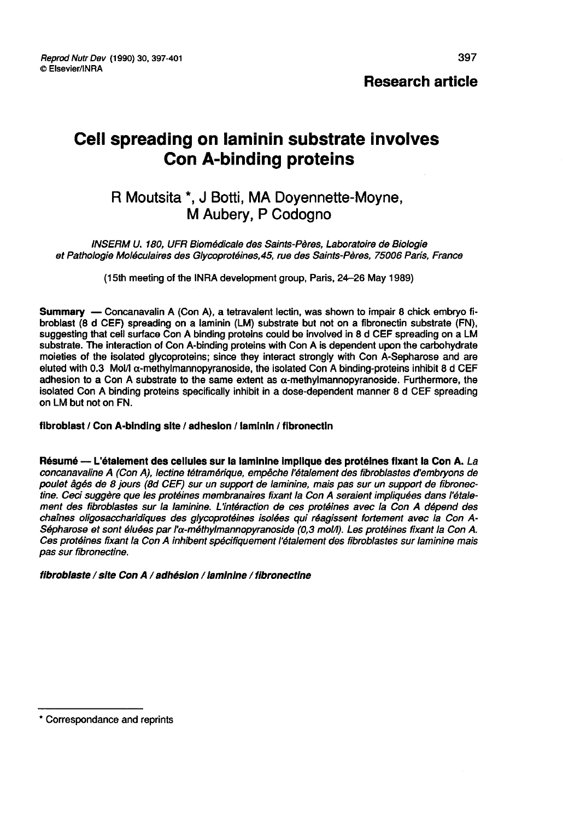# Cell spreading on laminin substrate involves Con A-binding proteins

## R Moutsita \*, J Botti, MA Doyennette-Moyne, M Aubery, P Codogno

INSERM U. 180, UFR Biomédicale des Saints-Pères, Laboratoire de Biologie et Pathologie Moléculaires des Glycoprotéines,45, rue des Saints-Pères, 75006 Paris, France

(l5th meeting of the INRA development group, Paris, 24-26 May 1989)

Summary ― Concanavalin A (Con A), a tetravalent lectin, was shown to impair 8 chick embryo fibroblast (8 d CEF) spreading on a laminin (LM) substrate but not on a fibronectin substrate (FN), suggesting that cell surface Con A binding proteins could be involved in 8 d CEF spreading on a LM substrate. The interaction of Con A-binding proteins with Con A is dependent upon the carbohydrate moieties of the isolated glycoproteins; since they interact strongly with Con A-Sepharose and are eluted with 0.3 Mol/I  $\alpha$ -methylmannopyranoside, the isolated Con A binding-proteins inhibit 8 d CEF adhesion to a Con A substrate to the same extent as  $\alpha$ -methylmannopyranoside. Furthermore, the isolated Con A binding proteins specifically inhibit in a dose-dependent manner 8 d CEF spreading<br>on LM but not on FN.

fibroblast / Con A-binding site / adhesion / laminin / fibronectin

Résumé ― L'étalement des cellules sur la laminine impllque des protéines fixant la Con A. La concanavaline A (Con A), lectine tétramérique, empêche l'étalement des fibroblastes d'embryons de poulet âgés de 8 jours (8d CEF) sur un support de laminine, mais pas sur un support de fibronectine. Ceci suggère que les protéines membranaires fixant la Con A seraient impliquées dans l'étalement des fibroblastes sur la laminine. L'intéraction de ces protéines avec la Con A dépend des chaînes oligosaccharidiques des glycoprotéines isolées qui réagissent fortement avec la Con A-Sépharose et sont éluées par l' $\alpha$ -méthylmannopyranoside (0,3 mol/l). Les protéines fixant la Con A. Ces protéines fixant la Con A inhibent spécifiquement l'étalement des fibroblastes sur laminine mais pas sur fibronectine.

fibroblaste / site Con A / adhésion / laminine / fibronectine

<sup>\*</sup> Correspondance and reprints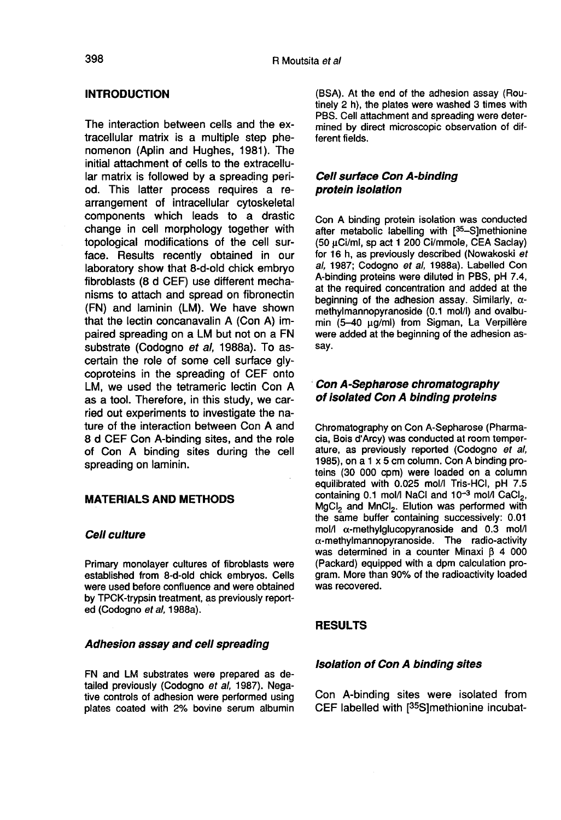## INTRODUCTION

The interaction between cells and the extracellular matrix is a multiple step phe nomenon (Aplin and Hughes, 1981). The initial attachment of cells to the extracellular matrix is followed by a spreading period. This latter process requires a rearrangement of intracellular cytoskeletal components which leads to a drastic change in cell morphology together with topological modifications of the cell surface. Results recently obtained in our laboratory show that 8-d-old chick embryo fibroblasts (8 d CEF) use different mechanisms to attach and spread on fibronectin (FN) and laminin (LM). We have shown that the lectin concanavalin A (Con A) impaired spreading on a LM but not on a FN substrate (Codogno et al. 1988a). To ascertain the role of some cell surface glycoproteins in the spreading of CEF onto LM, we used the tetrameric lectin Con A as a tool. Therefore, in this study, we carried out experiments to investigate the nature of the interaction between Con A and 8 d CEF Con A-binding sites, and the role of Con A binding sites during the cell spreading on laminin.

#### MATERIALS AND METHODS

#### Cell culture

Primary monolayer cultures of fibroblasts were established from 8-d-old chick embryos. Cells were used before confluence and were obtained by TPCK-trypsin treatment, as previously reported (Codogno et al, 1988a).

#### Adhesion assay and cell spreading

FN and LM substrates were prepared as detailed previously (Codogno et al, 1987). Negative controls of adhesion were performed using plates coated with 2% bovine serum albumin

(BSA). At the end of the adhesion assay (Routinely 2 h), the plates were washed 3 times with PBS. Cell attachment and spreading were determined by direct microscopic observation of different fields.

### Cell surface Con A-binding protein isolation

Con A binding protein isolation was conducted after metabolic labelling with  $[^{35}$ -S]methionine Cell surface Con A-binding<br>
protein isolation<br>
Con A binding protein isolation was conducted<br>
after metabolic labelling with [<sup>35</sup>-S]methionine<br>
(50 µCi/ml, sp act 1 200 Ci/mmole, CEA Saclay)<br>
for 16 h, as previously descr (50 uCi/ml, sp act 1 200 Ci/mmole, CEA Saclay) for 16 h, as previously described (Nowakoski et al, 1987; Codogno et al, 1988a). Labelled Con A-binding proteins were diluted in PBS, pH 7.4, at the required concentration and added at the beginning of the adhesion assay. Similarly,  $\alpha$ methylmannopyranoside (0.1 mol/1) and ovalbumin (5-40 µg/ml) from Sigman, La Verpillère were added at the beginning of the adhesion assay.

## Con A-Sepharose chromatography of isolated Con A binding proteins

Chromatography on Con A-Sepharose (Pharmacia, Bois d'Arcy) was conducted at room temperature, as previously reported (Codogno et ai, 1985), on a 1 x 5 cm column. Con A binding proteins (30 000 cpm) were loaded on a column<br>equilibrated with 0.025 mol/l Tris-HCl, pH 7.5<br>containing 0.1 mol/l NaCl and 10<sup>-3</sup> mol/l CaCl<sub>2</sub>,<br>MgCl<sub>2</sub> and MnCl<sub>2</sub>. Elution was performed with<br>the same buffer containing succ equilibrated with 0.025 mol/I Tris-HCI, pH 7.5 containing 0.1 mol/I NaCI and  $10^{-3}$  mol/I CaCI<sub>2</sub>, the same buffer containing successively: 0.01 mol/ $I \alpha$ -methylglucopyranoside and 0.3 mol/l  $\alpha$ -methylmannopyranoside. The radio-activity was determined in a counter Minaxi  $\beta$  4 000 (Packard) equipped with a dpm calculation program. More than 90% of the radioactivity loaded was recovered.

## **RESULTS**

#### Isolation of Con A binding sites

Con A-binding sites were isolated from<br>CEF labelled with [<sup>35</sup>S]methionine incubat-RESULTS<br>*Isolation of Con A binding sites*<br>Con A-binding sites were isolated from<br>CEF labelled with [<sup>35</sup>S]methionine incubat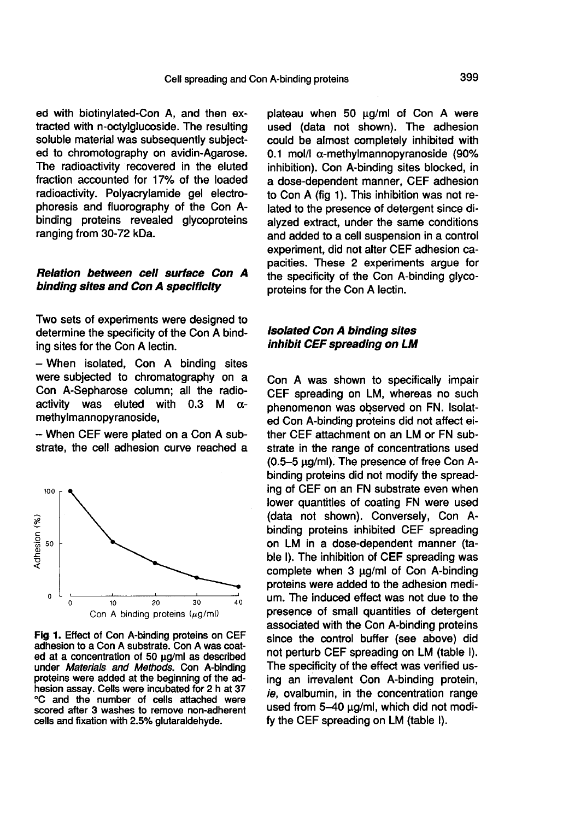ed with biotinylated-Con A, and then extracted with n-octylglucoside. The resulting soluble material was subsequently subjected to chromotography on avidin-Agarose. The radioactivity recovered in the eluted fraction accounted for 17% of the loaded radioactivity. Polyacrylamide gel electrophoresis and fluorography of the Con Abinding proteins revealed glycoproteins ranging from 30-72 kDa.

## Relation between cell surface Con A binding sites and Con A specificity

Two sets of experiments were designed to determine the specificity of the Con A binding sites for the Con A lectin.

- When isolated, Con A binding sites were subjected to chromatography on a Con A-Sepharose column; all the radio-<br>activity was eluted with 0.3 M  $\alpha$ activity was eluted with 0.3 M  $\alpha$ methylmannopyranoside,

- When CEF were plated on a Con A substrate, the cell adhesion curve reached a



Fig 1. Effect of Con A-binding proteins on CEF adhesion to a Con A substrate. Con A was coated at a concentration of 50 µg/ml as described under Materials and Methods. Con A-binding proteins were added at the beginning of the adhesion assay. Cells were incubated for 2 h at 37 °C and the number of cells attached were scored after 3 washes to remove non-adherent cells and fixation with 2.5% glutaraldehyde.

plateau when 50  $\mu$ g/ml of Con A were used (data not shown). The adhesion could be almost completely inhibited with 0.1 mol/l  $\alpha$ -methylmannopyranoside (90% inhibition). Con A-binding sites blocked, in a dose-dependent manner, CEF adhesion to Con A (fig 1). This inhibition was not related to the presence of detergent since dialyzed extract, under the same conditions and added to a cell suspension in a control experiment, did not alter CEF adhesion capacities. These 2 experiments argue for the specificity of the Con A-binding glycoproteins for the Con A lectin.

#### Isolated Con A binding sites inhibit CEF spreading on LM

Con A was shown to specifically impair CEF spreading on LM, whereas no such phenomenon was observed on FN. Isolated Con A-binding proteins did not affect either CEF attachment on an LM or FN substrate in the range of concentrations used  $(0.5-5 \mu q/ml)$ . The presence of free Con Abinding proteins did not modify the spreading of CEF on an FN substrate even when lower quantities of coating FN were used (data not shown). Conversely, Con A-<br>binding proteins inhibited CEF spreading on LM in a dose-dependent manner (table I). The inhibition of CEF spreading was complete when 3 ug/ml of Con A-binding proteins were added to the adhesion medium. The induced effect was not due to the presence of small quantities of detergent associated with the Con A-binding proteins since the control buffer (see above) did not perturb CEF spreading on LM (table I). The specificity of the effect was verified using an irrevalent Con A-binding protein, ie, ovalbumin, in the concentration range used from 5-40 ug/ml, which did not modify the CEF spreading on LM (table 1).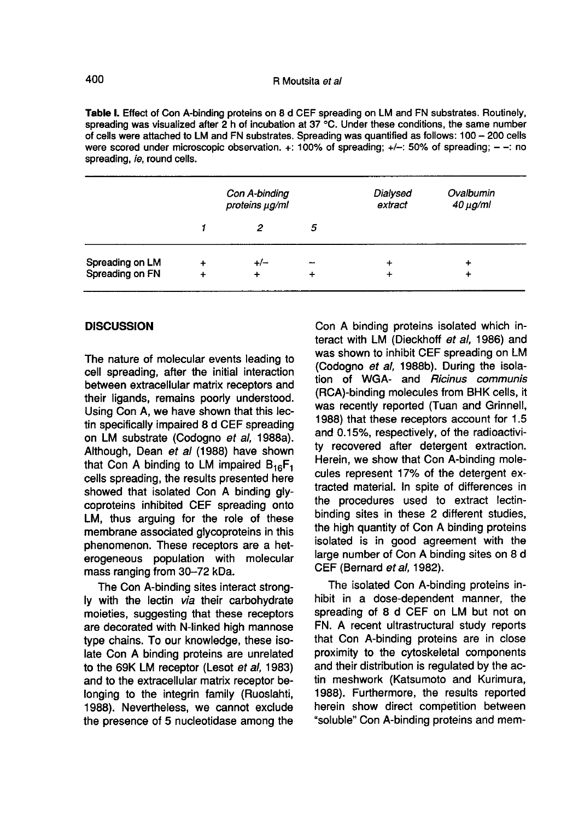Table I. Effect of Con A-binding proteins on 8 d CEF spreading on LM and FN substrates. Routinely, spreading was visualized after 2 h of incubation at 37 °C. Under these conditions, the same number of cells were attached to LM and FN substrates. Spreading was quantified as follows: 100 - 200 cells were scored under microscopic observation.  $+$ : 100% of spreading;  $+/-$ : 50% of spreading;  $-$ : no spreading, ie, round cells.

|                 | Con A-binding<br>proteins µg/ml |       |   | Dialysed<br>extract | Ovalbumin<br>$40 \mu g$ /ml |
|-----------------|---------------------------------|-------|---|---------------------|-----------------------------|
|                 |                                 |       | 5 |                     |                             |
| Spreading on LM | $\ddot{}$                       | $+/-$ | - | +                   | ٠                           |
| Spreading on FN |                                 | ٠     | ٠ | ٠                   | ÷                           |

#### **DISCUSSION**

The nature of molecular events leading to cell spreading, after the initial interaction between extracellular matrix receptors and their ligands, remains poorly understood. Using Con A, we have shown that this lectin specifically impaired 8 d CEF spreading on LM substrate (Codogno et al, 1988a). Although, Dean et al (1988) have shown that Con A binding to LM impaired  $B_{16}F_1$ cells spreading, the results presented here showed that isolated Con A binding glycoproteins inhibited CEF spreading onto LM, thus arguing for the role of these membrane associated glycoproteins in this phenomenon. These receptors are a heterogeneous population with molecular mass ranging from 30-72 kDa.

The Con A-binding sites interact strongly with the lectin via their carbohydrate moieties, suggesting that these receptors are decorated with N-linked high mannose type chains. To our knowledge, these isolate Con A binding proteins are unrelated to the 69K LM receptor (Lesot et al, 1983) and to the extracellular matrix receptor belonging to the integrin family (Ruoslahti, 1988). Nevertheless, we cannot exclude the presence of 5 nucleotidase among the

Con A binding proteins isolated which interact with LM (Dieckhoff et al, 1986) and was shown to inhibit CEF spreading on LM (Codogno et al, 1988b). During the isolation of WGA- and Ricinus communis (RCA)-binding molecules from BHK cells, it was recently reported (Tuan and Grinnell, 1988) that these receptors account for 1.5 and 0.15%, respectively, of the radioactivity recovered after detergent extraction. Herein, we show that Con A-binding molecules represent 17% of the detergent extracted material. In spite of differences in the procedures used to extract lectinbinding sites in these 2 different studies, the high quantity of Con A binding proteins isolated is in good agreement with the large number of Con A binding sites on 8 d CEF (Bernard ef al, 1982).

The isolated Con A-binding proteins inhibit in a dose-dependent manner, the spreading of 8 d CEF on LM but not on FN. A recent ultrastructural study reports that Con A-binding proteins are in close proximity to the cytoskeletal components and their distribution is regulated by the actin meshwork (Katsumoto and Kurimura, 1988). Furthermore, the results reported herein show direct competition between "soluble" Con A-binding proteins and mem